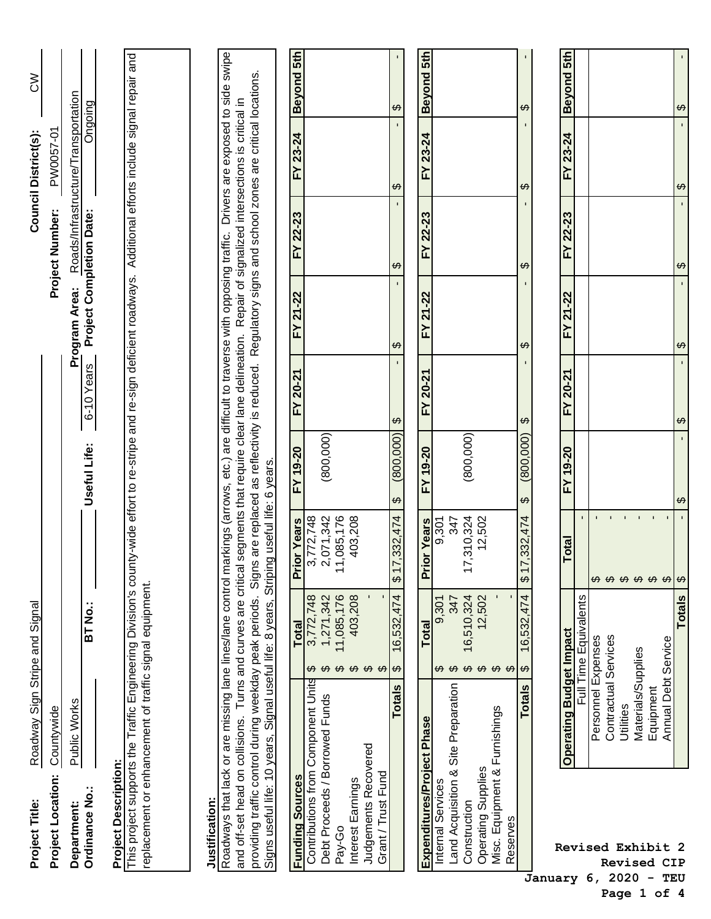| Project Title:                                                                                                                                                                                                                        | Roadway Sign Stripe and Signal  |                                                                                     |                                                                 |                                        |                                   |                                                                                                          |                             | Council District(s):                | $\lesssim$               |
|---------------------------------------------------------------------------------------------------------------------------------------------------------------------------------------------------------------------------------------|---------------------------------|-------------------------------------------------------------------------------------|-----------------------------------------------------------------|----------------------------------------|-----------------------------------|----------------------------------------------------------------------------------------------------------|-----------------------------|-------------------------------------|--------------------------|
| Project Location:                                                                                                                                                                                                                     | Countywide                      |                                                                                     |                                                                 |                                        |                                   |                                                                                                          | Project Number:             | PW0057-01                           |                          |
| Department:                                                                                                                                                                                                                           | Public Works                    |                                                                                     |                                                                 |                                        |                                   | Program Area:                                                                                            |                             | Roads/Infrastructure/Transportation |                          |
| Ordinance No.:                                                                                                                                                                                                                        |                                 | <b>BT No.:</b>                                                                      |                                                                 | Useful Life:                           | 6-10 Years                        | Project Completion Date:                                                                                 |                             | Ongoing                             |                          |
| <b>Project Description:</b>                                                                                                                                                                                                           |                                 |                                                                                     |                                                                 |                                        |                                   |                                                                                                          |                             |                                     |                          |
| This project supports the Traffic Engineering Division's county-wide effort to re-stripe and re-sign deficient roadways. Additional efforts include signal repair and<br>replacement or enhancement of traffic signal equipment       |                                 |                                                                                     |                                                                 |                                        |                                   |                                                                                                          |                             |                                     |                          |
|                                                                                                                                                                                                                                       |                                 |                                                                                     |                                                                 |                                        |                                   |                                                                                                          |                             |                                     |                          |
| Justification:                                                                                                                                                                                                                        |                                 |                                                                                     |                                                                 |                                        |                                   |                                                                                                          |                             |                                     |                          |
| Roadways that lack or are missing lane lines/lane control markings (arrows, etc.) are difficult to traverse with opposing traffic. Drivers are exposed to side swipe<br>and off-set head on collisions. Turns and curves are critical |                                 |                                                                                     |                                                                 |                                        |                                   | segments that require clear lane delineation. Repair of signalized intersections is critical in          |                             |                                     |                          |
| providing traffic control during weekday peak periods.<br>Signs useful life: 10 years,                                                                                                                                                |                                 | Signal useful life: 8 years,                                                        | Striping useful life: 6 years.                                  |                                        |                                   | Signs are replaced as reflectivity is reduced. Regulatory signs and school zones are critical locations. |                             |                                     |                          |
| <b>Funding Sources</b>                                                                                                                                                                                                                |                                 | <b>Total</b>                                                                        | <b>ior Years</b><br>ĒΪ                                          | FY 19-20                               | FY 20-21                          | FY 21-22                                                                                                 | FY 22-23                    | FY 23-24                            | Beyond 5th               |
| Contributions from Component Units                                                                                                                                                                                                    |                                 | 3,772,748                                                                           | 3,772,748                                                       |                                        |                                   |                                                                                                          |                             |                                     |                          |
| Debt Proceeds / Borrowed Funds                                                                                                                                                                                                        |                                 | 1,271,342<br><del>ဟ ဟ</del>                                                         | 2,071,342                                                       | (800, 000)                             |                                   |                                                                                                          |                             |                                     |                          |
| Pay-Go                                                                                                                                                                                                                                |                                 | 11,085,176                                                                          | 1,085,176<br>↽                                                  |                                        |                                   |                                                                                                          |                             |                                     |                          |
| Interest Earnings                                                                                                                                                                                                                     |                                 | 403,208                                                                             | 403,208                                                         |                                        |                                   |                                                                                                          |                             |                                     |                          |
| Judgements Recovered<br>Grant / Trust Fund                                                                                                                                                                                            |                                 | $\boldsymbol{\omega}$ $\boldsymbol{\omega}$ $\boldsymbol{\omega}$                   |                                                                 |                                        |                                   |                                                                                                          |                             |                                     |                          |
|                                                                                                                                                                                                                                       | <b>Totals</b>                   | .474<br>16,532<br>$\Theta$                                                          | 7,332,474<br>$\overline{\phantom{0}}$<br>$\leftrightarrow$      | (800,000)<br>$\boldsymbol{\varphi}$    | $\Theta$                          | $\boldsymbol{\varphi}$                                                                                   | $\Theta$                    | ↔                                   | $\boldsymbol{\varphi}$   |
|                                                                                                                                                                                                                                       |                                 |                                                                                     |                                                                 |                                        |                                   |                                                                                                          |                             |                                     |                          |
| Expenditures/Project Phase                                                                                                                                                                                                            |                                 | Total                                                                               | or Years<br>$\overline{\tilde{L}}$                              | FY 19-20                               | FY 20-21                          | FY 21-22                                                                                                 | FY 22-23                    | FY 23-24                            | Beyond 5th               |
| Internal Services                                                                                                                                                                                                                     |                                 | 9,301<br><del>ဟ ဟ</del>                                                             | 9,301                                                           |                                        |                                   |                                                                                                          |                             |                                     |                          |
| Land Acquisition & Site Preparation                                                                                                                                                                                                   |                                 | 347                                                                                 | 347                                                             |                                        |                                   |                                                                                                          |                             |                                     |                          |
| Operating Supplies<br>Construction                                                                                                                                                                                                    |                                 | 16,510,324<br>12,502                                                                | ,310,324<br>12,502                                              | (800, 000)                             |                                   |                                                                                                          |                             |                                     |                          |
| Misc. Equipment & Furnishings<br>Reserves                                                                                                                                                                                             |                                 | $\blacksquare$<br>$\boldsymbol{\omega}$ $\boldsymbol{\omega}$ $\boldsymbol{\omega}$ |                                                                 |                                        |                                   |                                                                                                          |                             |                                     |                          |
|                                                                                                                                                                                                                                       | <b>Totals</b>                   | .474<br>16,532<br>$\varphi$                                                         | 7,332,474<br>$\overline{\phantom{0}}$<br>$\boldsymbol{\varphi}$ | (800, 000)<br>$\varphi$                | $\boldsymbol{\varphi}$            | ↮                                                                                                        | ↮                           | ക                                   | ↮                        |
| January 6.                                                                                                                                                                                                                            |                                 |                                                                                     |                                                                 |                                        |                                   |                                                                                                          |                             |                                     |                          |
|                                                                                                                                                                                                                                       | <b>Operating Budget Impact</b>  |                                                                                     | <b>Total</b>                                                    | FY 19-20                               | FY 20-21                          | FY 21-22                                                                                                 | FY 22-23                    | FY 23-24                            | Beyond 5th               |
|                                                                                                                                                                                                                                       |                                 | Full Time Equivalents                                                               |                                                                 |                                        |                                   |                                                                                                          |                             |                                     |                          |
|                                                                                                                                                                                                                                       | Personnel Expenses              |                                                                                     |                                                                 |                                        |                                   |                                                                                                          |                             |                                     |                          |
|                                                                                                                                                                                                                                       | Contractual Services            |                                                                                     |                                                                 |                                        |                                   |                                                                                                          |                             |                                     |                          |
|                                                                                                                                                                                                                                       | Materials/Supplies<br>Utilities |                                                                                     |                                                                 |                                        |                                   |                                                                                                          |                             |                                     |                          |
| Revised Exhibit 2<br>Revised CIP<br>$2020 - T$ FIJ                                                                                                                                                                                    | Equipment                       |                                                                                     | <del>ഗ</del> ഗ ഗ ഗ ഗ ഗ ഗ                                        |                                        |                                   |                                                                                                          |                             |                                     |                          |
|                                                                                                                                                                                                                                       | <b>Annual Debt Service</b>      |                                                                                     |                                                                 |                                        |                                   |                                                                                                          |                             |                                     |                          |
|                                                                                                                                                                                                                                       |                                 | <b>Totals</b>                                                                       |                                                                 | $\mathbf{r}$<br>$\boldsymbol{\varphi}$ | $\mathbf{r}^{\prime}$<br>$\Theta$ | $\bullet$<br>$\Theta$                                                                                    | $\bar{\bar{1}}$<br>$\Theta$ | $\mathbf{r}$<br>$\Theta$            | $\mathbf{I}$<br>$\Theta$ |

<sup>2&</sup>lt;br>IP **Revised CIP January 6, 2020 - TEU Page 1 of 4**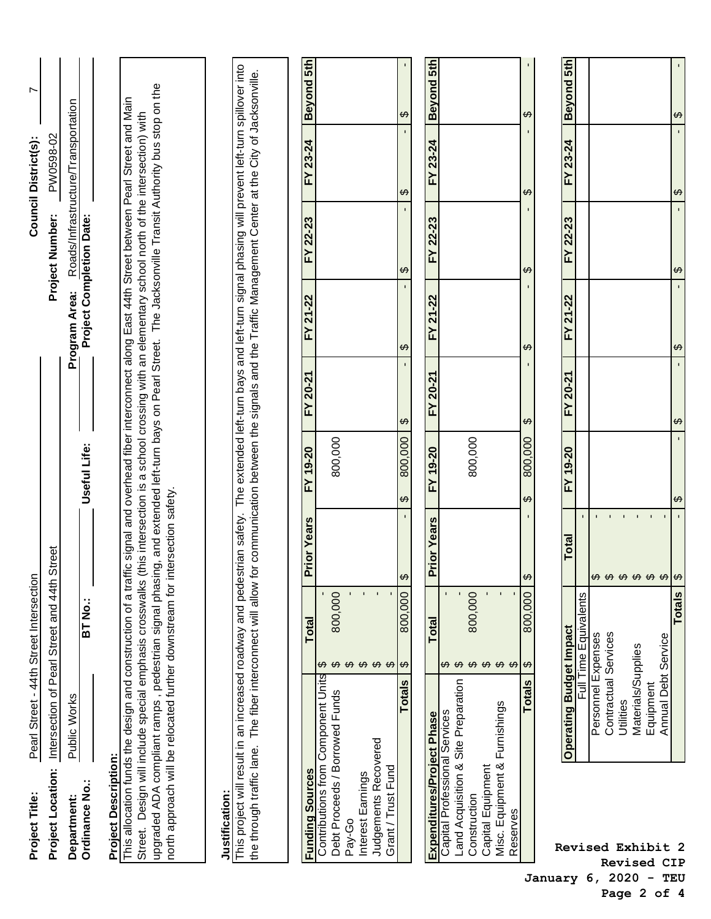| Project Title:                                                                                                                                                   |                                                                                                                                                                        | Pearl Street - 44th Street Intersection  |                                                    |                                                                                                     |                        |                                                  |                                     | Council District(s):   | L                      |
|------------------------------------------------------------------------------------------------------------------------------------------------------------------|------------------------------------------------------------------------------------------------------------------------------------------------------------------------|------------------------------------------|----------------------------------------------------|-----------------------------------------------------------------------------------------------------|------------------------|--------------------------------------------------|-------------------------------------|------------------------|------------------------|
| Project Location:                                                                                                                                                |                                                                                                                                                                        | Intersection of Pearl Street and 44th    | Street                                             |                                                                                                     |                        |                                                  | Project Number:                     | PW0598-02              |                        |
| Ordinance No.:<br>Department:                                                                                                                                    | Public Works                                                                                                                                                           | <b>BT No.:</b>                           |                                                    | Useful Life:                                                                                        |                        | <b>Project Completion Date:</b><br>Program Area: | Roads/Infrastructure/Transportation |                        |                        |
| <b>Project Description:</b>                                                                                                                                      |                                                                                                                                                                        |                                          |                                                    |                                                                                                     |                        |                                                  |                                     |                        |                        |
| This allocation funds the design and construction of a traff                                                                                                     | Street. Design will include special emphasis crosswalks (this intersection is a school crossing with an elementary school north of the intersection) with              |                                          |                                                    | ic signal and overhead fiber interconnect along East 44th Street between Pearl Street and Main      |                        |                                                  |                                     |                        |                        |
|                                                                                                                                                                  | north approach will be relocated further downstream for intersection safety.<br>upgraded ADA compliant ramps, pedestrian signal phasir                                 |                                          |                                                    | og, and extended left-turn bays on Pearl Street. The Jacksonville Transit Authority bus stop on the |                        |                                                  |                                     |                        |                        |
|                                                                                                                                                                  |                                                                                                                                                                        |                                          |                                                    |                                                                                                     |                        |                                                  |                                     |                        |                        |
| Justification:                                                                                                                                                   |                                                                                                                                                                        |                                          |                                                    |                                                                                                     |                        |                                                  |                                     |                        |                        |
| the through traffic lane. The fiber interconnect will allow for communication between the signals and the Traffic Management Center at the City of Jacksonville. | This project will result in an increased roadway and pedestrian safety. The extended left-turn bays and left-turn signal phasing will prevent left-turn spillover into |                                          |                                                    |                                                                                                     |                        |                                                  |                                     |                        |                        |
|                                                                                                                                                                  |                                                                                                                                                                        |                                          |                                                    |                                                                                                     |                        |                                                  |                                     |                        |                        |
| <b>Funding Sources</b>                                                                                                                                           |                                                                                                                                                                        | <b>Total</b>                             | <b>Prior Years</b>                                 | FY 19-20                                                                                            | FY 20-21               | FY 21-22                                         | FY 22-23                            | FY 23-24               | Beyond 5th             |
| Debt Proceeds / Borrowed Funds<br>Judgements Recovered<br>Grant / Trust Fund<br>Interest Earnings<br>Pay-Go                                                      | Contributions from Component Units                                                                                                                                     | 800,000<br>$\omega \omega \omega \omega$ |                                                    | 800,000                                                                                             |                        |                                                  |                                     |                        |                        |
|                                                                                                                                                                  | <b>Totals</b>                                                                                                                                                          | 800,000                                  | $\boldsymbol{\varphi}$                             | 800,000<br>$\boldsymbol{\varphi}$                                                                   | $\boldsymbol{\varphi}$ | $\boldsymbol{\varphi}$                           | $\boldsymbol{\varphi}$              | $\boldsymbol{\varphi}$ | ↮                      |
| Expenditures/Project Phase                                                                                                                                       |                                                                                                                                                                        | Total                                    | <b>Prior Years</b>                                 | FY 19-20                                                                                            | FY 20-21               | FY 21-22                                         | FY 22-23                            | FY 23-24               | <b>Beyond 5th</b>      |
| Misc. Equipment & Furnishings<br>Capital Professional Services<br>Capital Equipment<br>Construction<br>Reserves                                                  | Land Acquisition & Site Preparation                                                                                                                                    | 800,000<br><del>ഗ</del> ഗ ഗ ഗ ഗ ഗ        |                                                    | 800,000                                                                                             |                        |                                                  |                                     |                        |                        |
|                                                                                                                                                                  | <b>Totals</b>                                                                                                                                                          | 800,000                                  | $\leftrightarrow$                                  | 800,000<br>$\boldsymbol{\varphi}$                                                                   | ↔                      | ↔                                                | $\boldsymbol{\varphi}$              | $\boldsymbol{\varphi}$ | $\boldsymbol{\varphi}$ |
|                                                                                                                                                                  |                                                                                                                                                                        |                                          |                                                    |                                                                                                     |                        |                                                  |                                     |                        |                        |
|                                                                                                                                                                  | <b>Operating Budget Impact</b>                                                                                                                                         | Full Time Equivalents                    | $\overline{1}$<br>Total                            | FY 19-20                                                                                            | FY 20-21               | FY 21-22                                         | 22-23<br>$\geq$                     | FY 23-24               | Beyond 5th             |
| Revised Exhibit 2                                                                                                                                                | Personnel Expenses<br>Contractual Services                                                                                                                             |                                          |                                                    |                                                                                                     |                        |                                                  |                                     |                        |                        |
| <b>Revised CIP</b>                                                                                                                                               | Utilities                                                                                                                                                              |                                          | $\mathbf{L}$<br>$\mathbf{r}$<br><b>တတော့ တတော့</b> |                                                                                                     |                        |                                                  |                                     |                        |                        |
|                                                                                                                                                                  | Materials/Supplies                                                                                                                                                     |                                          | $\mathbf{r}$                                       |                                                                                                     |                        |                                                  |                                     |                        |                        |
|                                                                                                                                                                  | <b>Annual Debt Service</b><br>Equipment                                                                                                                                |                                          |                                                    |                                                                                                     |                        |                                                  |                                     |                        |                        |
|                                                                                                                                                                  |                                                                                                                                                                        | Totals                                   | $\boldsymbol{\varphi}$                             | ക                                                                                                   | $\boldsymbol{\varphi}$ | ↔                                                | ↔                                   | $\boldsymbol{\varphi}$ | ↔                      |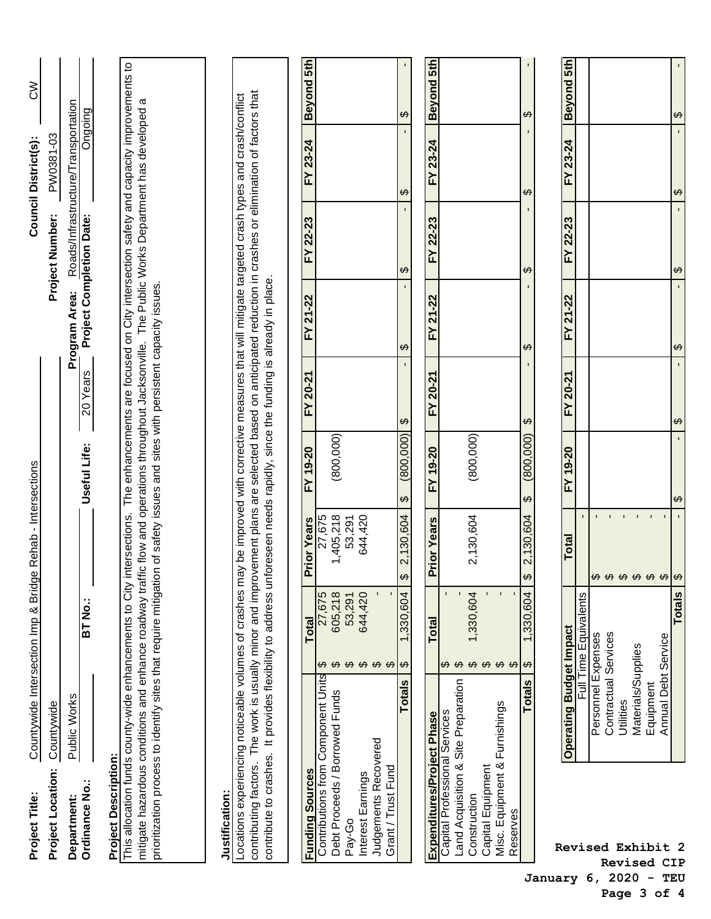|                                | Project Title:                                                 |                                                                                                                                                                                                                                                                                                                                                                                                                                                       | Countywide Intersection Imp & Bridge Rehab - Intersections |                               |                                     |                        |                        |                          | Council District(s):                | $\lesssim$        |
|--------------------------------|----------------------------------------------------------------|-------------------------------------------------------------------------------------------------------------------------------------------------------------------------------------------------------------------------------------------------------------------------------------------------------------------------------------------------------------------------------------------------------------------------------------------------------|------------------------------------------------------------|-------------------------------|-------------------------------------|------------------------|------------------------|--------------------------|-------------------------------------|-------------------|
|                                | Project Location:                                              | Countywide                                                                                                                                                                                                                                                                                                                                                                                                                                            |                                                            |                               |                                     |                        |                        | Project Number:          | PW0381-03                           |                   |
|                                | Department:                                                    | Public Works                                                                                                                                                                                                                                                                                                                                                                                                                                          |                                                            |                               |                                     |                        | Program Area:          |                          | Roads/Infrastructure/Transportation |                   |
|                                | Ordinance No.:                                                 |                                                                                                                                                                                                                                                                                                                                                                                                                                                       | $\overline{\text{BT No}}$ :                                |                               | Useful Life:                        | 20 Years               |                        | Project Completion Date: | Ongoing                             |                   |
|                                | <b>Project Description:</b>                                    |                                                                                                                                                                                                                                                                                                                                                                                                                                                       |                                                            |                               |                                     |                        |                        |                          |                                     |                   |
|                                |                                                                | This allocation funds county-wide enhancements to City intersections. The enhancements are focused on City intersection safety and capacity improvements to                                                                                                                                                                                                                                                                                           |                                                            |                               |                                     |                        |                        |                          |                                     |                   |
|                                |                                                                | mitigate hazardous conditions and enhance roadway traffic flow and operations throughout Jacksonville. The Public Works Department has developed a<br>prioritization process to identify sites that require mitigation of safety issues and sites with persistent capacity issues.                                                                                                                                                                    |                                                            |                               |                                     |                        |                        |                          |                                     |                   |
|                                |                                                                |                                                                                                                                                                                                                                                                                                                                                                                                                                                       |                                                            |                               |                                     |                        |                        |                          |                                     |                   |
|                                | Justification:                                                 |                                                                                                                                                                                                                                                                                                                                                                                                                                                       |                                                            |                               |                                     |                        |                        |                          |                                     |                   |
|                                |                                                                | contributing factors. The work is usually minor and improvement plans are selected based on anticipated reduction in crashes or elimination of factors that<br>Locations experiencing noticeable volumes of crashes may be improved with corrective measures that will mitigate targeted crash types and crash/conflict<br>contribute to crashes. It provides flexibility to address unforeseen needs rapidly, since the funding is already in place. |                                                            |                               |                                     |                        |                        |                          |                                     |                   |
|                                |                                                                |                                                                                                                                                                                                                                                                                                                                                                                                                                                       |                                                            |                               |                                     |                        |                        |                          |                                     |                   |
|                                |                                                                |                                                                                                                                                                                                                                                                                                                                                                                                                                                       |                                                            |                               |                                     |                        |                        |                          |                                     |                   |
|                                | <b>Funding Sources</b>                                         |                                                                                                                                                                                                                                                                                                                                                                                                                                                       | <b>Total</b>                                               | <b>Prior Years</b>            | FY 19-20                            | FY 20-21               | FY 21-22               | FY 22-23                 | FY 23-24                            | <b>Beyond 5th</b> |
|                                | Debt Proceeds / Borrowed Funds<br>Pay-Go                       | Contributions from Component Units                                                                                                                                                                                                                                                                                                                                                                                                                    | 27,675<br>605,218<br>53,291                                | 1,405,218<br>27,675<br>53,291 | (800, 000)                          |                        |                        |                          |                                     |                   |
|                                | Interest Earnings                                              |                                                                                                                                                                                                                                                                                                                                                                                                                                                       | 644,420                                                    | 644,420                       |                                     |                        |                        |                          |                                     |                   |
|                                | Judgements Recovered<br>Grant / Trust Fund                     |                                                                                                                                                                                                                                                                                                                                                                                                                                                       |                                                            |                               |                                     |                        |                        |                          |                                     |                   |
|                                |                                                                | <b>Totals</b>                                                                                                                                                                                                                                                                                                                                                                                                                                         | 1,330,604<br>$\Theta$                                      | 2,130,604<br>$\bigoplus$      | (800,000)<br>$\boldsymbol{\varphi}$ | $\Theta$               | $\boldsymbol{\varphi}$ | $\boldsymbol{\varphi}$   | $\boldsymbol{\varphi}$              | ↔                 |
|                                | Expenditures/Project Phase                                     |                                                                                                                                                                                                                                                                                                                                                                                                                                                       | Total                                                      | Prior Years                   | FY 19-20                            | FY 20-21               | FY 21-22               | 22-23<br>$\geq$          | 23-24<br>≿                          | <b>Beyond 5th</b> |
|                                | Capital Professional Services                                  | Land Acquisition & Site Preparation                                                                                                                                                                                                                                                                                                                                                                                                                   |                                                            |                               |                                     |                        |                        |                          |                                     |                   |
|                                | Construction                                                   |                                                                                                                                                                                                                                                                                                                                                                                                                                                       | 1,330,604                                                  | 2,130,604                     | (800, 000)                          |                        |                        |                          |                                     |                   |
|                                | Misc. Equipment & Furnishings<br>Capital Equipment<br>Reserves |                                                                                                                                                                                                                                                                                                                                                                                                                                                       |                                                            |                               |                                     |                        |                        |                          |                                     |                   |
|                                |                                                                | <b>Totals</b>                                                                                                                                                                                                                                                                                                                                                                                                                                         | 1,330,604<br>↔                                             | 2,130,604<br>$\bigoplus$      | (800, 000)<br>$\leftrightarrow$     | $\boldsymbol{\varphi}$ | $\varphi$              | $\varphi$                | ↔                                   | ↔                 |
| January                        |                                                                |                                                                                                                                                                                                                                                                                                                                                                                                                                                       |                                                            |                               |                                     |                        |                        |                          |                                     |                   |
|                                |                                                                | <b>Operating Budget Impact</b>                                                                                                                                                                                                                                                                                                                                                                                                                        |                                                            | <b>Total</b>                  | FY 19-20                            | FY 20-21               | FY 21-22               | FY 22-23                 | FY 23-24                            | Beyond 5th        |
|                                |                                                                |                                                                                                                                                                                                                                                                                                                                                                                                                                                       | Full Time Equivalents                                      |                               |                                     |                        |                        |                          |                                     |                   |
| 6,                             | Revised Exhibit 2                                              | Contractual Services<br>Personnel Expenses                                                                                                                                                                                                                                                                                                                                                                                                            |                                                            | $\blacksquare$                |                                     |                        |                        |                          |                                     |                   |
| 2020                           |                                                                | Utilities                                                                                                                                                                                                                                                                                                                                                                                                                                             |                                                            |                               |                                     |                        |                        |                          |                                     |                   |
|                                |                                                                | Materials/Supplies                                                                                                                                                                                                                                                                                                                                                                                                                                    |                                                            | $\mathbf{I}$                  |                                     |                        |                        |                          |                                     |                   |
| Page 3 of                      | <b>Revised CIP</b>                                             | <b>Annual Debt</b><br>Equipment                                                                                                                                                                                                                                                                                                                                                                                                                       | Service                                                    |                               |                                     |                        |                        |                          |                                     |                   |
| TEU<br>$\overline{\mathbf{4}}$ |                                                                |                                                                                                                                                                                                                                                                                                                                                                                                                                                       | Totals                                                     | $\boldsymbol{\varphi}$        | ↔                                   | ↔                      | $\boldsymbol{\varphi}$ | ↔                        | ↔                                   | ↔                 |
|                                |                                                                |                                                                                                                                                                                                                                                                                                                                                                                                                                                       |                                                            |                               |                                     |                        |                        |                          |                                     |                   |